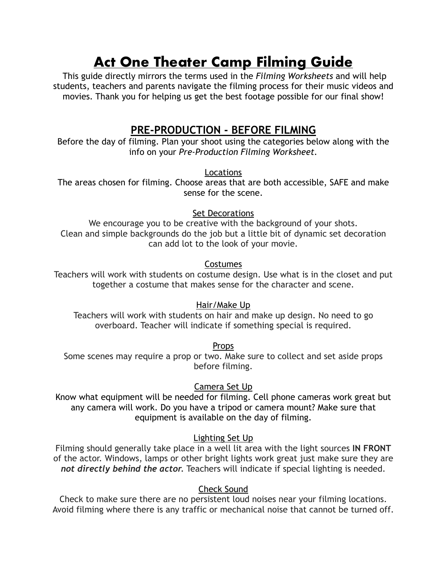# **Act One Theater Camp Filming Guide**

 This guide directly mirrors the terms used in the *Filming Worksheets* and will help students, teachers and parents navigate the filming process for their music videos and movies. Thank you for helping us get the best footage possible for our final show!

## **PRE-PRODUCTION - BEFORE FILMING**

Before the day of filming. Plan your shoot using the categories below along with the info on your *Pre-Production Filming Worksheet.*

Locations

The areas chosen for filming. Choose areas that are both accessible, SAFE and make sense for the scene.

Set Decorations

We encourage you to be creative with the background of your shots. Clean and simple backgrounds do the job but a little bit of dynamic set decoration can add lot to the look of your movie.

## Costumes

Teachers will work with students on costume design. Use what is in the closet and put together a costume that makes sense for the character and scene.

## Hair/Make Up

Teachers will work with students on hair and make up design. No need to go overboard. Teacher will indicate if something special is required.

**Props** 

Some scenes may require a prop or two. Make sure to collect and set aside props before filming.

## Camera Set Up

Know what equipment will be needed for filming. Cell phone cameras work great but any camera will work. Do you have a tripod or camera mount? Make sure that equipment is available on the day of filming.

## Lighting Set Up

Filming should generally take place in a well lit area with the light sources **IN FRONT** of the actor. Windows, lamps or other bright lights work great just make sure they are *not directly behind the actor.* Teachers will indicate if special lighting is needed.

## Check Sound

Check to make sure there are no persistent loud noises near your filming locations. Avoid filming where there is any traffic or mechanical noise that cannot be turned off.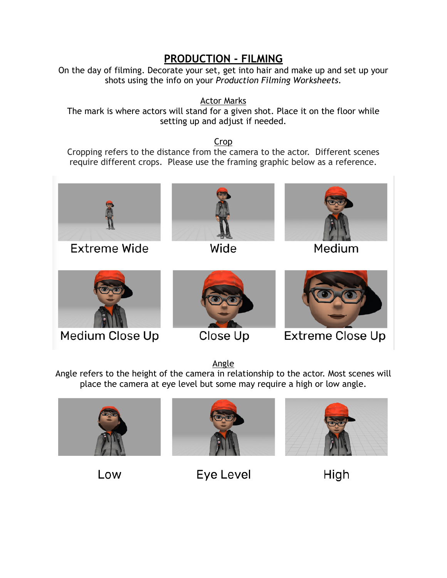## **PRODUCTION - FILMING**

On the day of filming. Decorate your set, get into hair and make up and set up your shots using the info on your *Production Filming Worksheets.*

Actor Marks

The mark is where actors will stand for a given shot. Place it on the floor while setting up and adjust if needed.

Crop

Cropping refers to the distance from the camera to the actor. Different scenes require different crops. Please use the framing graphic below as a reference.



Medium Close Up

Close Up

Extreme Close Up

Angle

Angle refers to the height of the camera in relationship to the actor. Most scenes will place the camera at eye level but some may require a high or low angle.







Low

Eye Level

High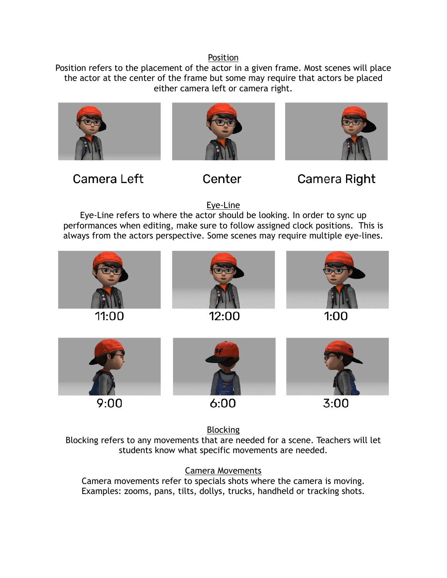#### Position

Position refers to the placement of the actor in a given frame. Most scenes will place the actor at the center of the frame but some may require that actors be placed either camera left or camera right.







Camera Left

Center

Camera Right

Eye-Line

Eye-Line refers to where the actor should be looking. In order to sync up performances when editing, make sure to follow assigned clock positions. This is always from the actors perspective. Some scenes may require multiple eye-lines.



**Blocking** 

Blocking refers to any movements that are needed for a scene. Teachers will let students know what specific movements are needed.

Camera Movements Camera movements refer to specials shots where the camera is moving. Examples: zooms, pans, tilts, dollys, trucks, handheld or tracking shots.